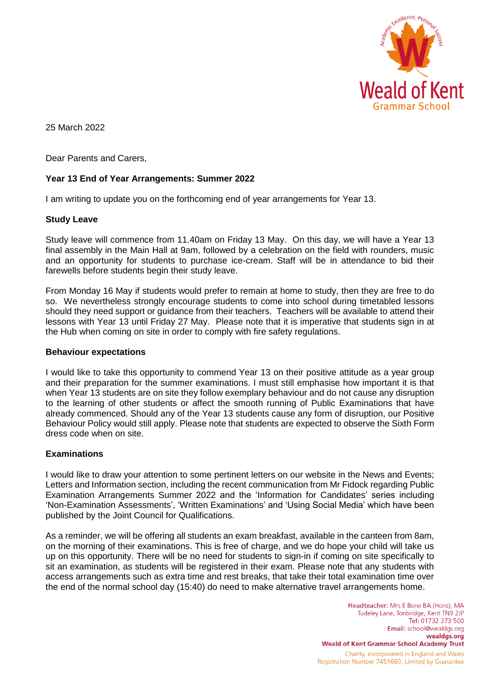

25 March 2022

Dear Parents and Carers,

# **Year 13 End of Year Arrangements: Summer 2022**

I am writing to update you on the forthcoming end of year arrangements for Year 13.

## **Study Leave**

Study leave will commence from 11.40am on Friday 13 May. On this day, we will have a Year 13 final assembly in the Main Hall at 9am, followed by a celebration on the field with rounders, music and an opportunity for students to purchase ice-cream. Staff will be in attendance to bid their farewells before students begin their study leave.

From Monday 16 May if students would prefer to remain at home to study, then they are free to do so. We nevertheless strongly encourage students to come into school during timetabled lessons should they need support or guidance from their teachers. Teachers will be available to attend their lessons with Year 13 until Friday 27 May. Please note that it is imperative that students sign in at the Hub when coming on site in order to comply with fire safety regulations.

## **Behaviour expectations**

I would like to take this opportunity to commend Year 13 on their positive attitude as a year group and their preparation for the summer examinations. I must still emphasise how important it is that when Year 13 students are on site they follow exemplary behaviour and do not cause any disruption to the learning of other students or affect the smooth running of Public Examinations that have already commenced. Should any of the Year 13 students cause any form of disruption, our Positive Behaviour Policy would still apply. Please note that students are expected to observe the Sixth Form dress code when on site.

## **Examinations**

I would like to draw your attention to some pertinent letters on our website in the News and Events; Letters and Information section, including the recent communication from Mr Fidock regarding Public Examination Arrangements Summer 2022 and the 'Information for Candidates' series including 'Non-Examination Assessments', 'Written Examinations' and 'Using Social Media' which have been published by the Joint Council for Qualifications.

As a reminder, we will be offering all students an exam breakfast, available in the canteen from 8am, on the morning of their examinations. This is free of charge, and we do hope your child will take us up on this opportunity. There will be no need for students to sign-in if coming on site specifically to sit an examination, as students will be registered in their exam. Please note that any students with access arrangements such as extra time and rest breaks, that take their total examination time over the end of the normal school day (15:40) do need to make alternative travel arrangements home.

> Headteacher: Mrs E Bone BA (Hons), MA Tudeley Lane, Tonbridge, Kent TN9 2JP Tel: 01732 373 500 Email: school@wealdgs.org wealdgs.org **Weald of Kent Grammar School Academy Trust** Charity, incorporated in England and Wales Registration Number 7451660, Limited by Guarantee